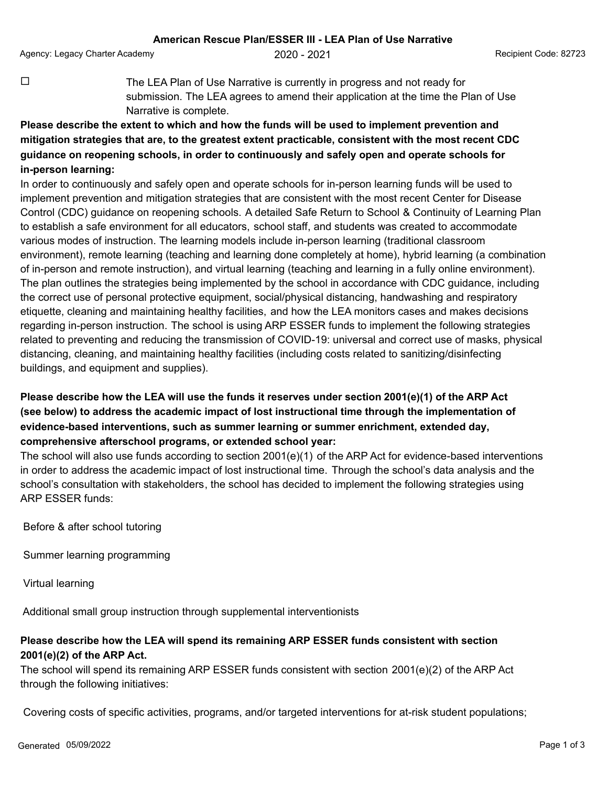Agency: Legacy Charter Academy 2020 - 2021 Physics 2020 - 2021 Recipient Code: 82723

 $\Box$  The LEA Plan of Use Narrative is currently in progress and not ready for submission. The LEA agrees to amend their application at the time the Plan of Use Narrative is complete.

## **Please describe the extent to which and how the funds will be used to implement prevention and mitigation strategies that are, to the greatest extent practicable, consistent with the most recent CDC guidance on reopening schools, in order to continuously and safely open and operate schools for in-person learning:**

In order to continuously and safely open and operate schools for in-person learning funds will be used to implement prevention and mitigation strategies that are consistent with the most recent Center for Disease Control (CDC) guidance on reopening schools. A detailed Safe Return to School & Continuity of Learning Plan to establish a safe environment for all educators, school staff, and students was created to accommodate various modes of instruction. The learning models include in-person learning (traditional classroom environment), remote learning (teaching and learning done completely at home), hybrid learning (a combination of in-person and remote instruction), and virtual learning (teaching and learning in a fully online environment). The plan outlines the strategies being implemented by the school in accordance with CDC guidance, including the correct use of personal protective equipment, social/physical distancing, handwashing and respiratory etiquette, cleaning and maintaining healthy facilities, and how the LEA monitors cases and makes decisions regarding in-person instruction. The school is using ARP ESSER funds to implement the following strategies related to preventing and reducing the transmission of COVID-19: universal and correct use of masks, physical distancing, cleaning, and maintaining healthy facilities (including costs related to sanitizing/disinfecting buildings, and equipment and supplies).

## **Please describe how the LEA will use the funds it reserves under section 2001(e)(1) of the ARP Act (see below) to address the academic impact of lost instructional time through the implementation of evidence-based interventions, such as summer learning or summer enrichment, extended day, comprehensive afterschool programs, or extended school year:**

The school will also use funds according to section 2001(e)(1) of the ARP Act for evidence-based interventions in order to address the academic impact of lost instructional time. Through the school's data analysis and the school's consultation with stakeholders, the school has decided to implement the following strategies using ARP ESSER funds:

Before & after school tutoring

Summer learning programming

Virtual learning

Additional small group instruction through supplemental interventionists

## **Please describe how the LEA will spend its remaining ARP ESSER funds consistent with section 2001(e)(2) of the ARP Act.**

The school will spend its remaining ARP ESSER funds consistent with section 2001(e)(2) of the ARP Act through the following initiatives:

Covering costs of specific activities, programs, and/or targeted interventions for at-risk student populations;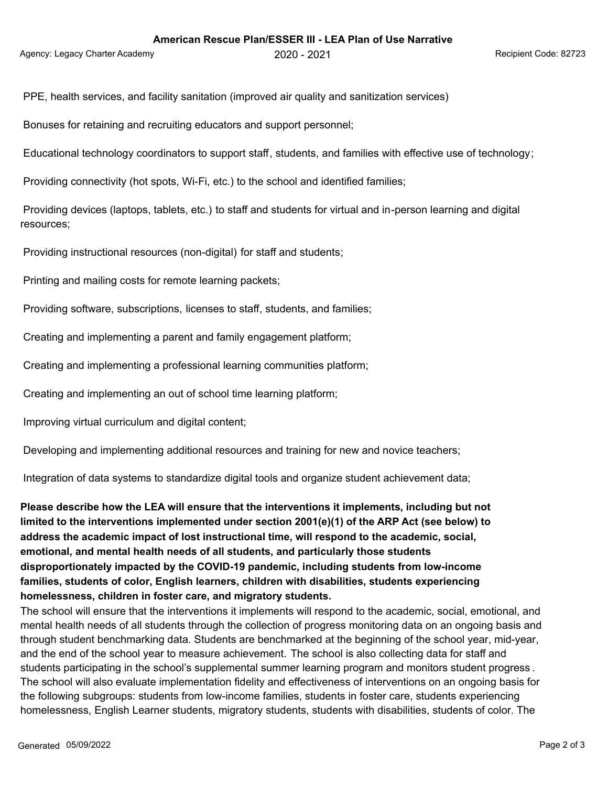Agency: Legacy Charter Academy 2020 - 2020 - 2021 Agency: Legacy Charter Academy 2020 - 2021

PPE, health services, and facility sanitation (improved air quality and sanitization services)

Bonuses for retaining and recruiting educators and support personnel;

Educational technology coordinators to support staff, students, and families with effective use of technology;

Providing connectivity (hot spots, Wi-Fi, etc.) to the school and identified families;

 Providing devices (laptops, tablets, etc.) to staff and students for virtual and in-person learning and digital resources;

Providing instructional resources (non-digital) for staff and students;

Printing and mailing costs for remote learning packets;

Providing software, subscriptions, licenses to staff, students, and families;

Creating and implementing a parent and family engagement platform;

Creating and implementing a professional learning communities platform;

Creating and implementing an out of school time learning platform;

Improving virtual curriculum and digital content;

Developing and implementing additional resources and training for new and novice teachers;

Integration of data systems to standardize digital tools and organize student achievement data;

**Please describe how the LEA will ensure that the interventions it implements, including but not limited to the interventions implemented under section 2001(e)(1) of the ARP Act (see below) to address the academic impact of lost instructional time, will respond to the academic, social, emotional, and mental health needs of all students, and particularly those students disproportionately impacted by the COVID-19 pandemic, including students from low-income families, students of color, English learners, children with disabilities, students experiencing homelessness, children in foster care, and migratory students.**

The school will ensure that the interventions it implements will respond to the academic, social, emotional, and mental health needs of all students through the collection of progress monitoring data on an ongoing basis and through student benchmarking data. Students are benchmarked at the beginning of the school year, mid-year, and the end of the school year to measure achievement. The school is also collecting data for staff and students participating in the school's supplemental summer learning program and monitors student progress . The school will also evaluate implementation fidelity and effectiveness of interventions on an ongoing basis for the following subgroups: students from low-income families, students in foster care, students experiencing homelessness, English Learner students, migratory students, students with disabilities, students of color. The